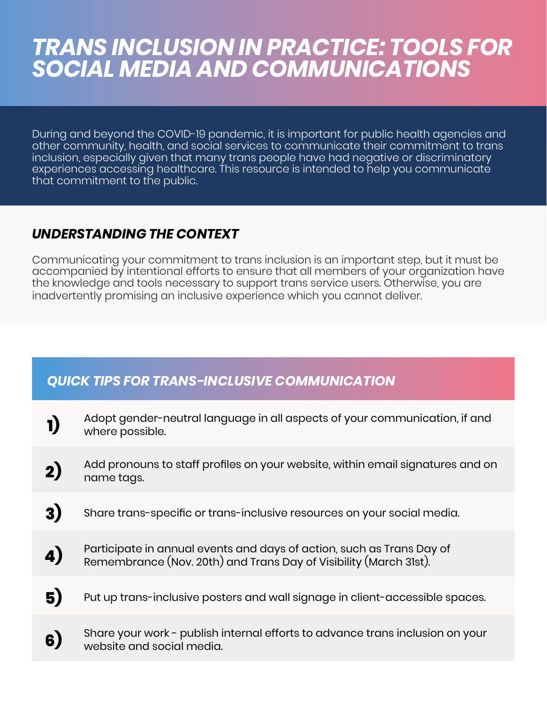## *TRANS INCLUSION IN PRACTICE: TOOLS FOR SOCIAL MEDIA AND COMMUNICATIONS*

During and beyond the COVID-19 pandemic, it is important for public health agencies and other community, health, and social services to communicate their commitment to trans inclusion, especially given that many trans people have had negative or discriminatory experiences accessing healthcare. This resource is intended to help you communicate that commitment to the public.

## *UNDERSTANDING THE CONTEXT*

Communicating your commitment to trans inclusion is an important step, but it must be accompanied by intentional efforts to ensure that all members of your organization have the knowledge and tools necessary to support trans service users. Otherwise, you are inadvertently promising an inclusive experience which you cannot deliver.

## *QUICK TIPS FOR TRANS-INCLUSIVE COMMUNICATION*

| 1)               | Adopt gender-neutral language in all aspects of your communication, if and<br>where possible.                                              |
|------------------|--------------------------------------------------------------------------------------------------------------------------------------------|
| 2)               | Add pronouns to staff profiles on your website, within email signatures and on<br>name tags.                                               |
| 3)               | Share trans-specific or trans-inclusive resources on your social media.                                                                    |
| $\boldsymbol{A}$ | Participate in annual events and days of action, such as Trans Day of<br>Remembrance (Nov. 20th) and Trans Day of Visibility (March 31st). |
| 5)               | Put up trans-inclusive posters and wall signage in client-accessible spaces.                                                               |
| 6                | Share your work - publish internal efforts to advance trans inclusion on your<br>website and social media.                                 |